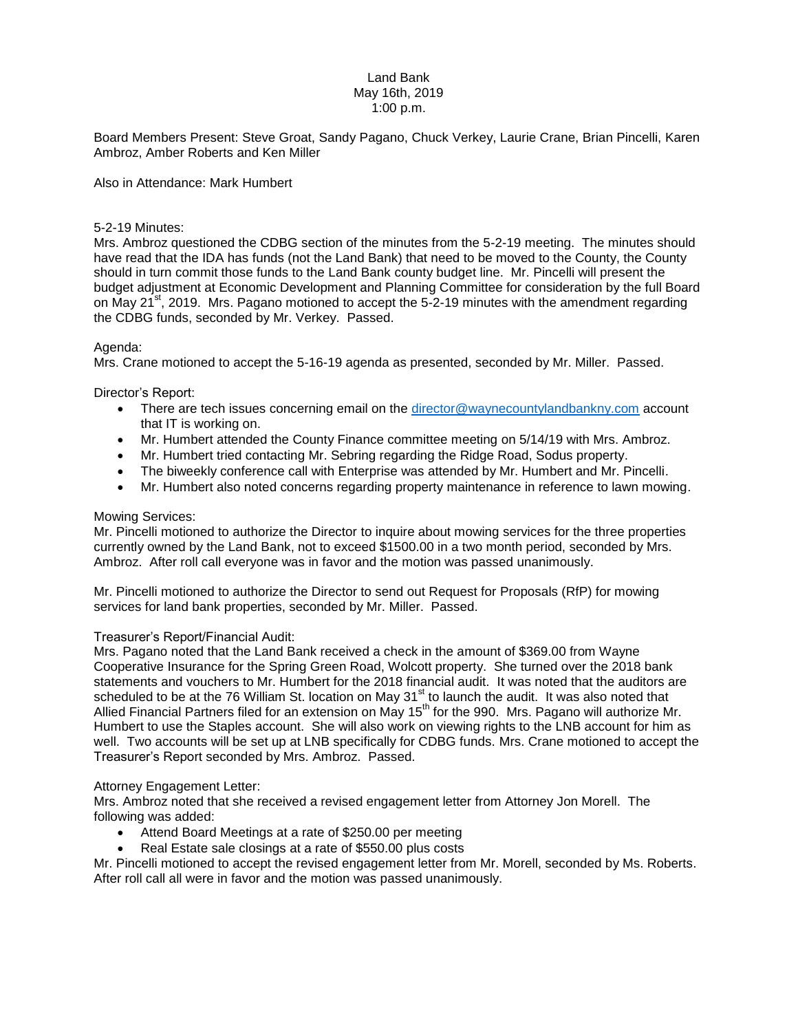# Land Bank May 16th, 2019 1:00 p.m.

Board Members Present: Steve Groat, Sandy Pagano, Chuck Verkey, Laurie Crane, Brian Pincelli, Karen Ambroz, Amber Roberts and Ken Miller

Also in Attendance: Mark Humbert

### 5-2-19 Minutes:

Mrs. Ambroz questioned the CDBG section of the minutes from the 5-2-19 meeting. The minutes should have read that the IDA has funds (not the Land Bank) that need to be moved to the County, the County should in turn commit those funds to the Land Bank county budget line. Mr. Pincelli will present the budget adjustment at Economic Development and Planning Committee for consideration by the full Board on May  $21^{st}$ , 2019. Mrs. Pagano motioned to accept the 5-2-19 minutes with the amendment regarding the CDBG funds, seconded by Mr. Verkey. Passed.

#### Agenda:

Mrs. Crane motioned to accept the 5-16-19 agenda as presented, seconded by Mr. Miller. Passed.

Director's Report:

- There are tech issues concerning email on the [director@waynecountylandbankny.com](mailto:director@waynecountylandbankny.com) account that IT is working on.
- Mr. Humbert attended the County Finance committee meeting on 5/14/19 with Mrs. Ambroz.
- Mr. Humbert tried contacting Mr. Sebring regarding the Ridge Road, Sodus property.
- The biweekly conference call with Enterprise was attended by Mr. Humbert and Mr. Pincelli.
- Mr. Humbert also noted concerns regarding property maintenance in reference to lawn mowing.

### Mowing Services:

Mr. Pincelli motioned to authorize the Director to inquire about mowing services for the three properties currently owned by the Land Bank, not to exceed \$1500.00 in a two month period, seconded by Mrs. Ambroz. After roll call everyone was in favor and the motion was passed unanimously.

Mr. Pincelli motioned to authorize the Director to send out Request for Proposals (RfP) for mowing services for land bank properties, seconded by Mr. Miller. Passed.

# Treasurer's Report/Financial Audit:

Mrs. Pagano noted that the Land Bank received a check in the amount of \$369.00 from Wayne Cooperative Insurance for the Spring Green Road, Wolcott property. She turned over the 2018 bank statements and vouchers to Mr. Humbert for the 2018 financial audit. It was noted that the auditors are scheduled to be at the 76 William St. location on May 31<sup>st</sup> to launch the audit. It was also noted that Allied Financial Partners filed for an extension on May 15<sup>th</sup> for the 990. Mrs. Pagano will authorize Mr. Humbert to use the Staples account. She will also work on viewing rights to the LNB account for him as well. Two accounts will be set up at LNB specifically for CDBG funds. Mrs. Crane motioned to accept the Treasurer's Report seconded by Mrs. Ambroz. Passed.

# Attorney Engagement Letter:

Mrs. Ambroz noted that she received a revised engagement letter from Attorney Jon Morell. The following was added:

- Attend Board Meetings at a rate of \$250.00 per meeting
- Real Estate sale closings at a rate of \$550.00 plus costs

Mr. Pincelli motioned to accept the revised engagement letter from Mr. Morell, seconded by Ms. Roberts. After roll call all were in favor and the motion was passed unanimously.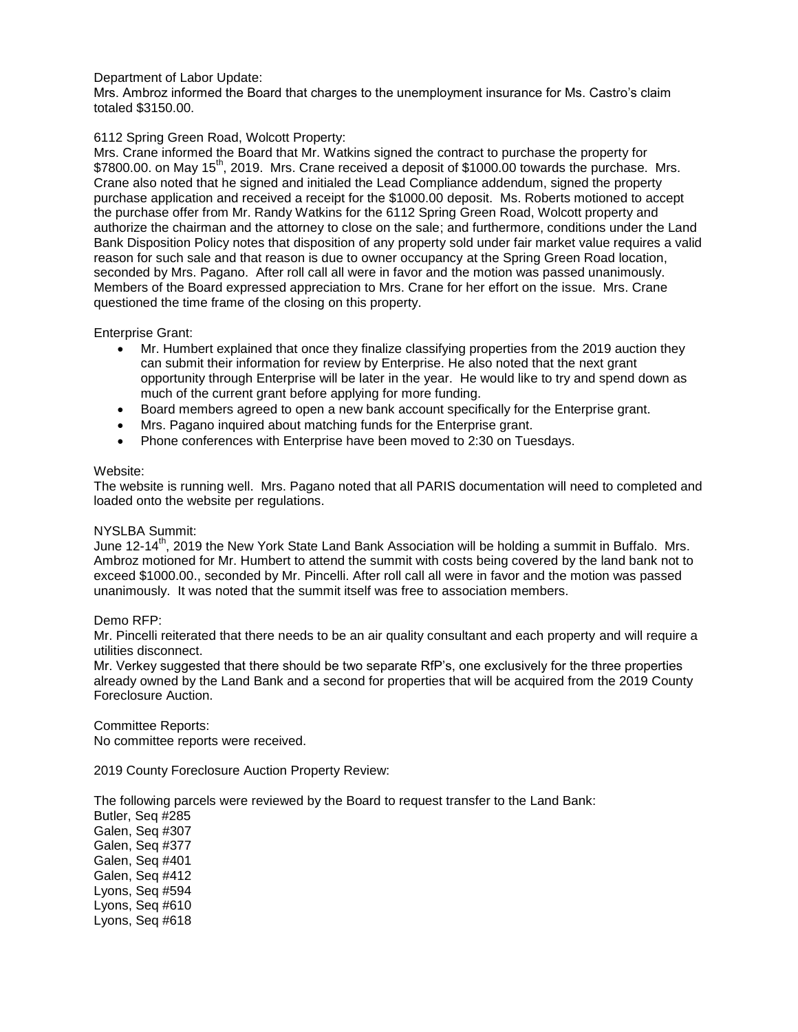# Department of Labor Update:

Mrs. Ambroz informed the Board that charges to the unemployment insurance for Ms. Castro's claim totaled \$3150.00.

# 6112 Spring Green Road, Wolcott Property:

Mrs. Crane informed the Board that Mr. Watkins signed the contract to purchase the property for \$7800.00. on May 15<sup>th</sup>, 2019. Mrs. Crane received a deposit of \$1000.00 towards the purchase. Mrs. Crane also noted that he signed and initialed the Lead Compliance addendum, signed the property purchase application and received a receipt for the \$1000.00 deposit. Ms. Roberts motioned to accept the purchase offer from Mr. Randy Watkins for the 6112 Spring Green Road, Wolcott property and authorize the chairman and the attorney to close on the sale; and furthermore, conditions under the Land Bank Disposition Policy notes that disposition of any property sold under fair market value requires a valid reason for such sale and that reason is due to owner occupancy at the Spring Green Road location, seconded by Mrs. Pagano. After roll call all were in favor and the motion was passed unanimously. Members of the Board expressed appreciation to Mrs. Crane for her effort on the issue. Mrs. Crane questioned the time frame of the closing on this property.

# Enterprise Grant:

- Mr. Humbert explained that once they finalize classifying properties from the 2019 auction they can submit their information for review by Enterprise. He also noted that the next grant opportunity through Enterprise will be later in the year. He would like to try and spend down as much of the current grant before applying for more funding.
- Board members agreed to open a new bank account specifically for the Enterprise grant.
- Mrs. Pagano inquired about matching funds for the Enterprise grant.
- Phone conferences with Enterprise have been moved to 2:30 on Tuesdays.

# Website:

The website is running well. Mrs. Pagano noted that all PARIS documentation will need to completed and loaded onto the website per regulations.

# NYSLBA Summit:

June 12-14<sup>th</sup>, 2019 the New York State Land Bank Association will be holding a summit in Buffalo. Mrs. Ambroz motioned for Mr. Humbert to attend the summit with costs being covered by the land bank not to exceed \$1000.00., seconded by Mr. Pincelli. After roll call all were in favor and the motion was passed unanimously. It was noted that the summit itself was free to association members.

# Demo RFP:

Mr. Pincelli reiterated that there needs to be an air quality consultant and each property and will require a utilities disconnect.

Mr. Verkey suggested that there should be two separate RfP's, one exclusively for the three properties already owned by the Land Bank and a second for properties that will be acquired from the 2019 County Foreclosure Auction.

Committee Reports: No committee reports were received.

2019 County Foreclosure Auction Property Review:

The following parcels were reviewed by the Board to request transfer to the Land Bank:

Butler, Seq #285 Galen, Seq #307 Galen, Seq #377 Galen, Seq #401 Galen, Seq #412 Lyons, Seq #594 Lyons, Seq #610 Lyons, Seq #618